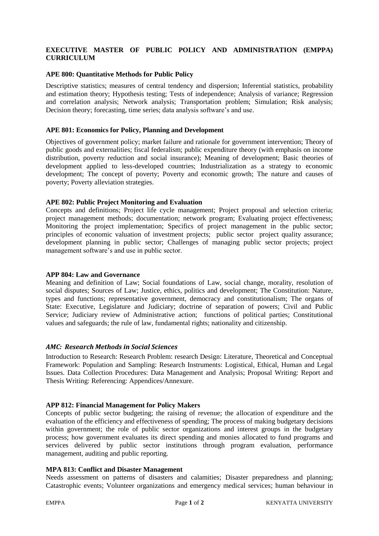# **EXECUTIVE MASTER OF PUBLIC POLICY AND ADMINISTRATION (EMPPA) CURRICULUM**

#### **APE 800: Quantitative Methods for Public Policy**

Descriptive statistics; measures of central tendency and dispersion; Inferential statistics, probability and estimation theory; Hypothesis testing; Tests of independence; Analysis of variance; Regression and correlation analysis; Network analysis; Transportation problem; Simulation; Risk analysis; Decision theory; forecasting, time series; data analysis software's and use.

#### **APE 801: Economics for Policy, Planning and Development**

Objectives of government policy; market failure and rationale for government intervention; Theory of public goods and externalities; fiscal federalism; public expenditure theory (with emphasis on income distribution, poverty reduction and social insurance); Meaning of development; Basic theories of development applied to less-developed countries; Industrialization as a strategy to economic development; The concept of poverty; Poverty and economic growth; The nature and causes of poverty; Poverty alleviation strategies.

#### **APE 802: Public Project Monitoring and Evaluation**

Concepts and definitions; Project life cycle management; Project proposal and selection criteria; project management methods; documentation; network program; Evaluating project effectiveness; Monitoring the project implementation; Specifics of project management in the public sector; principles of economic valuation of investment projects; public sector project quality assurance; development planning in public sector; Challenges of managing public sector projects; project management software's and use in public sector.

#### **APP 804: Law and Governance**

Meaning and definition of Law; Social foundations of Law, social change, morality, resolution of social disputes; Sources of Law; Justice, ethics, politics and development; The Constitution: Nature, types and functions; representative government, democracy and constitutionalism; The organs of State: Executive, Legislature and Judiciary; doctrine of separation of powers; Civil and Public Service; Judiciary review of Administrative action; functions of political parties; Constitutional values and safeguards; the rule of law, fundamental rights; nationality and citizenship.

# *AMC: Research Methods in Social Sciences*

Introduction to Research: Research Problem: research Design: Literature, Theoretical and Conceptual Framework: Population and Sampling: Research Instruments: Logistical, Ethical, Human and Legal Issues. Data Collection Procedures: Data Management and Analysis; Proposal Writing: Report and Thesis Writing: Referencing: Appendices/Annexure.

#### **APP 812: Financial Management for Policy Makers**

Concepts of public sector budgeting; the raising of revenue; the allocation of expenditure and the evaluation of the efficiency and effectiveness of spending; The process of making budgetary decisions within government; the role of public sector organizations and interest groups in the budgetary process; how government evaluates its direct spending and monies allocated to fund programs and services delivered by public sector institutions through program evaluation, performance management, auditing and public reporting.

#### **MPA 813: Conflict and Disaster Management**

Needs assessment on patterns of disasters and calamities; Disaster preparedness and planning; Catastrophic events; Volunteer organizations and emergency medical services; human behaviour in